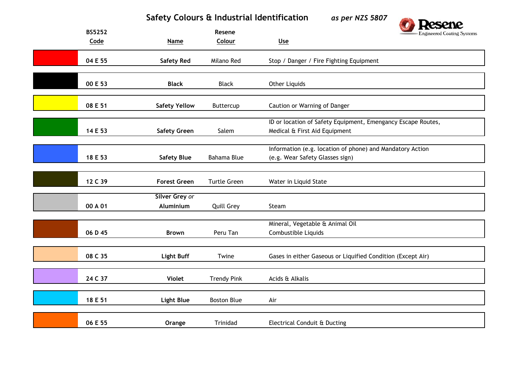## **Safety Colours & Industrial Identification** *as per NZS 5807*



| <b>BS5252</b><br>Code | <b>Name</b>          | Resene<br>Colour    | Engineered Coating Systems<br>U <sub>se</sub>                |
|-----------------------|----------------------|---------------------|--------------------------------------------------------------|
|                       |                      |                     |                                                              |
| 04 E 55               | <b>Safety Red</b>    | Milano Red          | Stop / Danger / Fire Fighting Equipment                      |
|                       |                      |                     |                                                              |
| 00 E 53               | <b>Black</b>         | <b>Black</b>        | <b>Other Liquids</b>                                         |
|                       |                      |                     |                                                              |
| 08 E 51               | <b>Safety Yellow</b> | Buttercup           | Caution or Warning of Danger                                 |
|                       |                      |                     | ID or location of Safety Equipment, Emengancy Escape Routes, |
| 14 E 53               | <b>Safety Green</b>  | Salem               | Medical & First Aid Equipment                                |
|                       |                      |                     |                                                              |
|                       |                      |                     | Information (e.g. location of phone) and Mandatory Action    |
| 18 E 53               | <b>Safety Blue</b>   | <b>Bahama Blue</b>  | (e.g. Wear Safety Glasses sign)                              |
|                       |                      |                     |                                                              |
| 12 C 39               | <b>Forest Green</b>  | <b>Turtle Green</b> | Water in Liquid State                                        |
|                       | Silver Grey or       |                     |                                                              |
| 00 A 01               | Aluminium            | <b>Quill Grey</b>   | Steam                                                        |
|                       |                      |                     |                                                              |
| 06 D 45               | <b>Brown</b>         | Peru Tan            | Mineral, Vegetable & Animal Oil<br>Combustible Liquids       |
|                       |                      |                     |                                                              |
| 08 C 35               | <b>Light Buff</b>    | Twine               | Gases in either Gaseous or Liquified Condition (Except Air)  |
|                       |                      |                     |                                                              |
| 24 C 37               | <b>Violet</b>        | <b>Trendy Pink</b>  | Acids & Alkalis                                              |
|                       |                      |                     |                                                              |
| 18 E 51               | <b>Light Blue</b>    | <b>Boston Blue</b>  | Air                                                          |
|                       |                      |                     |                                                              |
| 06 E 55               | Orange               | Trinidad            | Electrical Conduit & Ducting                                 |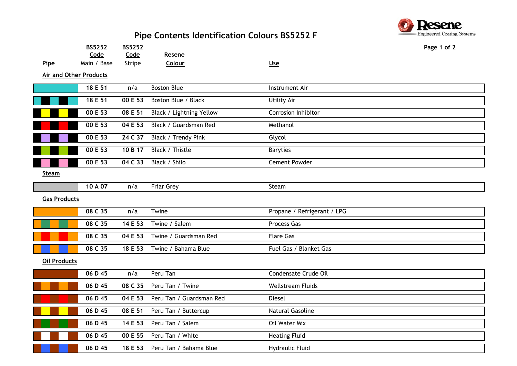## **Pipe Contents Identification Colours BS5252 F**



|                               | BS5252<br>Code | <b>BS5252</b><br>Code | Resene                   |                             | Page 1 of 2 |
|-------------------------------|----------------|-----------------------|--------------------------|-----------------------------|-------------|
| Pipe                          | Main / Base    | Stripe                | Colour                   | Use                         |             |
| <b>Air and Other Products</b> |                |                       |                          |                             |             |
|                               | 18 E 51        | n/a                   | <b>Boston Blue</b>       | Instrument Air              |             |
|                               | 18 E 51        | 00 E 53               | Boston Blue / Black      | <b>Utility Air</b>          |             |
|                               |                |                       |                          |                             |             |
|                               | 00 E 53        | 08 E 51               | Black / Lightning Yellow | Corrosion Inhibitor         |             |
|                               | 00 E 53        | 04 E 53               | Black / Guardsman Red    | Methanol                    |             |
|                               | 00 E 53        | 24 C 37               | Black / Trendy Pink      | Glycol                      |             |
|                               | 00 E 53        | 10 B 17               | Black / Thistle          | <b>Baryties</b>             |             |
|                               | 00 E 53        | 04 C 33               | Black / Shilo            | Cement Powder               |             |
| Steam                         |                |                       |                          |                             |             |
|                               | 10 A 07        | n/a                   | Friar Grey               | Steam                       |             |
| <b>Gas Products</b>           |                |                       |                          |                             |             |
|                               | 08 C 35        | n/a                   | Twine                    | Propane / Refrigerant / LPG |             |
|                               | 08 C 35        | 14 E 53               | Twine / Salem            | <b>Process Gas</b>          |             |
|                               | 08 C 35        | 04 E 53               | Twine / Guardsman Red    | <b>Flare Gas</b>            |             |
|                               | 08 C 35        | 18 E 53               | Twine / Bahama Blue      | Fuel Gas / Blanket Gas      |             |
| <b>Oil Products</b>           |                |                       |                          |                             |             |
|                               | 06 D 45        | n/a                   | Peru Tan                 | Condensate Crude Oil        |             |
|                               | 06 D 45        | 08 C 35               | Peru Tan / Twine         | <b>Wellstream Fluids</b>    |             |
|                               | 06 D 45        | 04 E 53               | Peru Tan / Guardsman Red | <b>Diesel</b>               |             |
|                               | 06 D 45        | 08 E 51               | Peru Tan / Buttercup     | <b>Natural Gasoline</b>     |             |
|                               | 06 D 45        | 14 E 53               | Peru Tan / Salem         | Oil Water Mix               |             |
|                               | 06 D 45        | 00 E 55               | Peru Tan / White         | <b>Heating Fluid</b>        |             |
|                               | 06 D 45        | 18 E 53               | Peru Tan / Bahama Blue   | Hydraulic Fluid             |             |